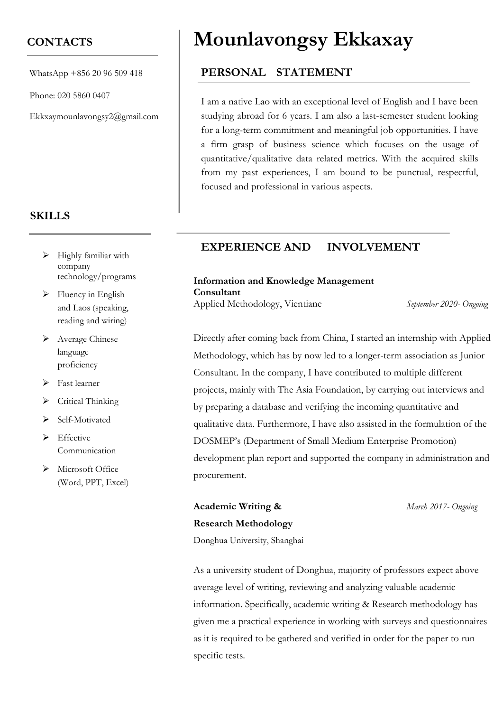### **CONTACTS**

WhatsApp +856 20 96 509 418

Phone: 020 5860 0407

Ekkxaymounlavongsy2@gmail.com

#### **SKILLS**

- $\triangleright$  Highly familiar with company technology/programs
- $\triangleright$  Fluency in English and Laos (speaking, reading and wiring)
- ➢ Average Chinese language proficiency
- ➢ Fast learner
- ➢ Critical Thinking
- ➢ Self-Motivated
- ➢ Effective Communication
- ➢ Microsoft Office (Word, PPT, Excel)

# **Mounlavongsy Ekkaxay**

#### **PERSONAL STATEMENT**

I am a native Lao with an exceptional level of English and I have been studying abroad for 6 years. I am also a last-semester student looking for a long-term commitment and meaningful job opportunities. I have a firm grasp of business science which focuses on the usage of quantitative/qualitative data related metrics. With the acquired skills from my past experiences, I am bound to be punctual, respectful, focused and professional in various aspects.

#### **EXPERIENCE AND INVOLVEMENT**

#### **Information and Knowledge Management Consultant**

Applied Methodology, Vientiane *September 2020- Ongoing*

Directly after coming back from China, I started an internship with Applied Methodology, which has by now led to a longer-term association as Junior Consultant. In the company, I have contributed to multiple different projects, mainly with The Asia Foundation, by carrying out interviews and by preparing a database and verifying the incoming quantitative and qualitative data. Furthermore, I have also assisted in the formulation of the DOSMEP's (Department of Small Medium Enterprise Promotion) development plan report and supported the company in administration and procurement.

**Academic Writing &** *March 2017- Ongoing*

**Research Methodology** Donghua University, Shanghai

As a university student of Donghua, majority of professors expect above average level of writing, reviewing and analyzing valuable academic information. Specifically, academic writing & Research methodology has given me a practical experience in working with surveys and questionnaires as it is required to be gathered and verified in order for the paper to run specific tests.